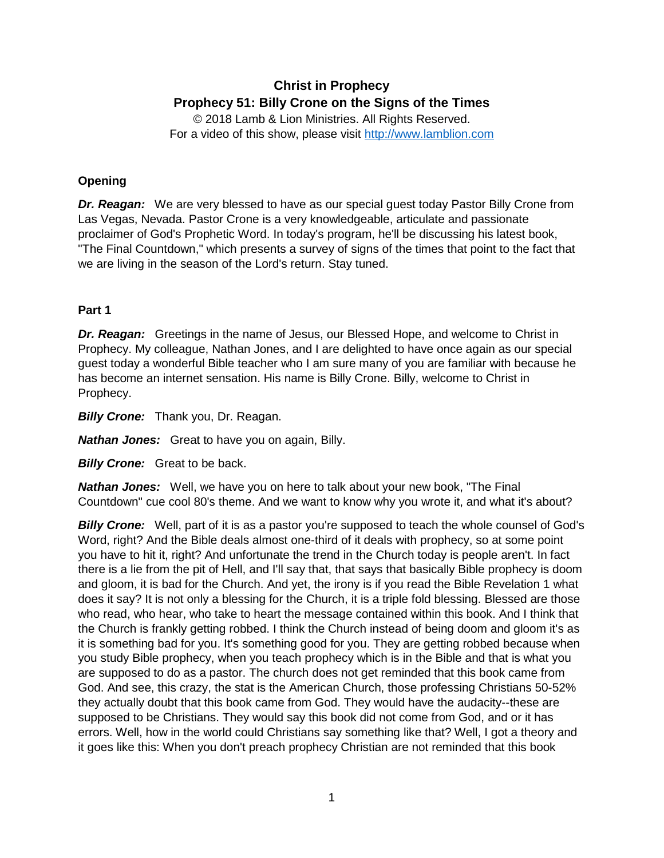# **Christ in Prophecy Prophecy 51: Billy Crone on the Signs of the Times**

© 2018 Lamb & Lion Ministries. All Rights Reserved. For a video of this show, please visit [http://www.lamblion.com](http://www.lamblion.com/)

# **Opening**

*Dr. Reagan:* We are very blessed to have as our special guest today Pastor Billy Crone from Las Vegas, Nevada. Pastor Crone is a very knowledgeable, articulate and passionate proclaimer of God's Prophetic Word. In today's program, he'll be discussing his latest book, "The Final Countdown," which presents a survey of signs of the times that point to the fact that we are living in the season of the Lord's return. Stay tuned.

# **Part 1**

**Dr. Reagan:** Greetings in the name of Jesus, our Blessed Hope, and welcome to Christ in Prophecy. My colleague, Nathan Jones, and I are delighted to have once again as our special guest today a wonderful Bible teacher who I am sure many of you are familiar with because he has become an internet sensation. His name is Billy Crone. Billy, welcome to Christ in Prophecy.

**Billy Crone:** Thank you, Dr. Reagan.

*Nathan Jones:* Great to have you on again, Billy.

**Billy Crone:** Great to be back.

*Nathan Jones:* Well, we have you on here to talk about your new book, "The Final Countdown" cue cool 80's theme. And we want to know why you wrote it, and what it's about?

**Billy Crone:** Well, part of it is as a pastor you're supposed to teach the whole counsel of God's Word, right? And the Bible deals almost one-third of it deals with prophecy, so at some point you have to hit it, right? And unfortunate the trend in the Church today is people aren't. In fact there is a lie from the pit of Hell, and I'll say that, that says that basically Bible prophecy is doom and gloom, it is bad for the Church. And yet, the irony is if you read the Bible Revelation 1 what does it say? It is not only a blessing for the Church, it is a triple fold blessing. Blessed are those who read, who hear, who take to heart the message contained within this book. And I think that the Church is frankly getting robbed. I think the Church instead of being doom and gloom it's as it is something bad for you. It's something good for you. They are getting robbed because when you study Bible prophecy, when you teach prophecy which is in the Bible and that is what you are supposed to do as a pastor. The church does not get reminded that this book came from God. And see, this crazy, the stat is the American Church, those professing Christians 50-52% they actually doubt that this book came from God. They would have the audacity--these are supposed to be Christians. They would say this book did not come from God, and or it has errors. Well, how in the world could Christians say something like that? Well, I got a theory and it goes like this: When you don't preach prophecy Christian are not reminded that this book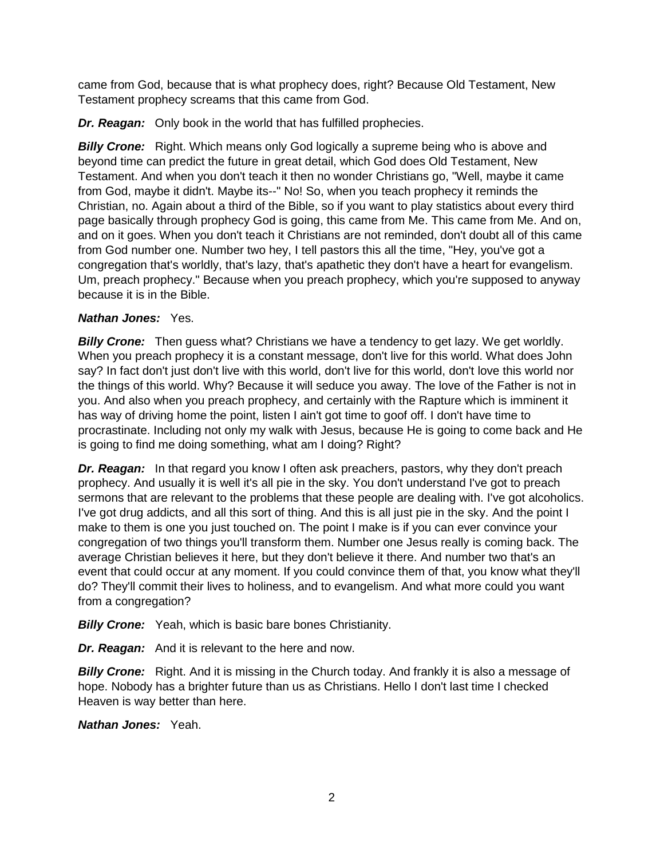came from God, because that is what prophecy does, right? Because Old Testament, New Testament prophecy screams that this came from God.

*Dr. Reagan:* Only book in the world that has fulfilled prophecies.

**Billy Crone:** Right. Which means only God logically a supreme being who is above and beyond time can predict the future in great detail, which God does Old Testament, New Testament. And when you don't teach it then no wonder Christians go, "Well, maybe it came from God, maybe it didn't. Maybe its--" No! So, when you teach prophecy it reminds the Christian, no. Again about a third of the Bible, so if you want to play statistics about every third page basically through prophecy God is going, this came from Me. This came from Me. And on, and on it goes. When you don't teach it Christians are not reminded, don't doubt all of this came from God number one. Number two hey, I tell pastors this all the time, "Hey, you've got a congregation that's worldly, that's lazy, that's apathetic they don't have a heart for evangelism. Um, preach prophecy." Because when you preach prophecy, which you're supposed to anyway because it is in the Bible.

# *Nathan Jones:* Yes.

**Billy Crone:** Then guess what? Christians we have a tendency to get lazy. We get worldly. When you preach prophecy it is a constant message, don't live for this world. What does John say? In fact don't just don't live with this world, don't live for this world, don't love this world nor the things of this world. Why? Because it will seduce you away. The love of the Father is not in you. And also when you preach prophecy, and certainly with the Rapture which is imminent it has way of driving home the point, listen I ain't got time to goof off. I don't have time to procrastinate. Including not only my walk with Jesus, because He is going to come back and He is going to find me doing something, what am I doing? Right?

*Dr. Reagan:* In that regard you know I often ask preachers, pastors, why they don't preach prophecy. And usually it is well it's all pie in the sky. You don't understand I've got to preach sermons that are relevant to the problems that these people are dealing with. I've got alcoholics. I've got drug addicts, and all this sort of thing. And this is all just pie in the sky. And the point I make to them is one you just touched on. The point I make is if you can ever convince your congregation of two things you'll transform them. Number one Jesus really is coming back. The average Christian believes it here, but they don't believe it there. And number two that's an event that could occur at any moment. If you could convince them of that, you know what they'll do? They'll commit their lives to holiness, and to evangelism. And what more could you want from a congregation?

**Billy Crone:** Yeah, which is basic bare bones Christianity.

*Dr. Reagan:* And it is relevant to the here and now.

**Billy Crone:** Right. And it is missing in the Church today. And frankly it is also a message of hope. Nobody has a brighter future than us as Christians. Hello I don't last time I checked Heaven is way better than here.

*Nathan Jones:* Yeah.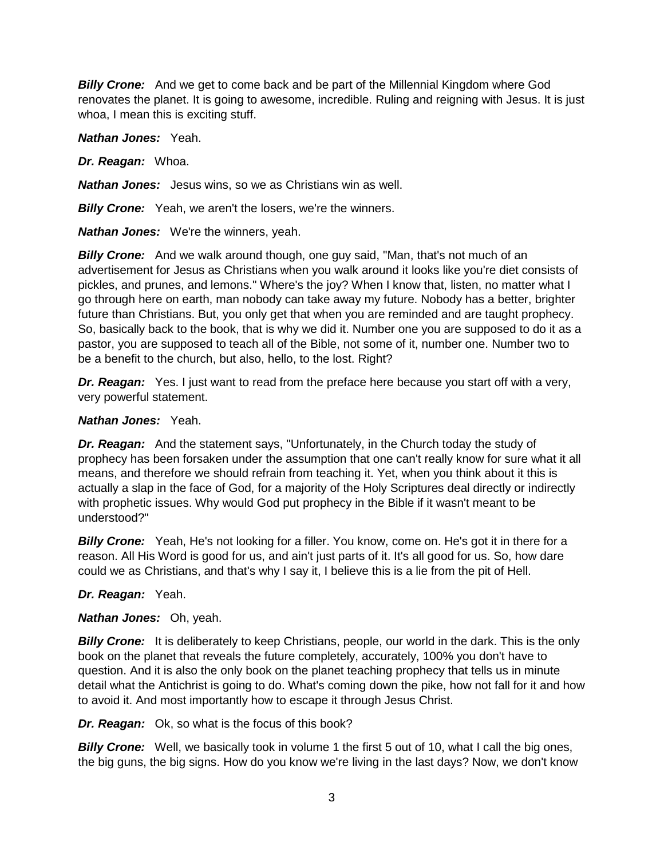**Billy Crone:** And we get to come back and be part of the Millennial Kingdom where God renovates the planet. It is going to awesome, incredible. Ruling and reigning with Jesus. It is just whoa, I mean this is exciting stuff.

*Nathan Jones:* Yeah.

*Dr. Reagan:* Whoa.

*Nathan Jones:* Jesus wins, so we as Christians win as well.

*Billy Crone:* Yeah, we aren't the losers, we're the winners.

*Nathan Jones:* We're the winners, yeah.

**Billy Crone:** And we walk around though, one guy said, "Man, that's not much of an advertisement for Jesus as Christians when you walk around it looks like you're diet consists of pickles, and prunes, and lemons." Where's the joy? When I know that, listen, no matter what I go through here on earth, man nobody can take away my future. Nobody has a better, brighter future than Christians. But, you only get that when you are reminded and are taught prophecy. So, basically back to the book, that is why we did it. Number one you are supposed to do it as a pastor, you are supposed to teach all of the Bible, not some of it, number one. Number two to be a benefit to the church, but also, hello, to the lost. Right?

**Dr. Reagan:** Yes. I just want to read from the preface here because you start off with a very, very powerful statement.

### *Nathan Jones:* Yeah.

*Dr. Reagan:* And the statement says, "Unfortunately, in the Church today the study of prophecy has been forsaken under the assumption that one can't really know for sure what it all means, and therefore we should refrain from teaching it. Yet, when you think about it this is actually a slap in the face of God, for a majority of the Holy Scriptures deal directly or indirectly with prophetic issues. Why would God put prophecy in the Bible if it wasn't meant to be understood?"

**Billy Crone:** Yeah, He's not looking for a filler. You know, come on. He's got it in there for a reason. All His Word is good for us, and ain't just parts of it. It's all good for us. So, how dare could we as Christians, and that's why I say it, I believe this is a lie from the pit of Hell.

# *Dr. Reagan:* Yeah.

# *Nathan Jones:* Oh, yeah.

**Billy Crone:** It is deliberately to keep Christians, people, our world in the dark. This is the only book on the planet that reveals the future completely, accurately, 100% you don't have to question. And it is also the only book on the planet teaching prophecy that tells us in minute detail what the Antichrist is going to do. What's coming down the pike, how not fall for it and how to avoid it. And most importantly how to escape it through Jesus Christ.

*Dr. Reagan:* Ok, so what is the focus of this book?

**Billy Crone:** Well, we basically took in volume 1 the first 5 out of 10, what I call the big ones, the big guns, the big signs. How do you know we're living in the last days? Now, we don't know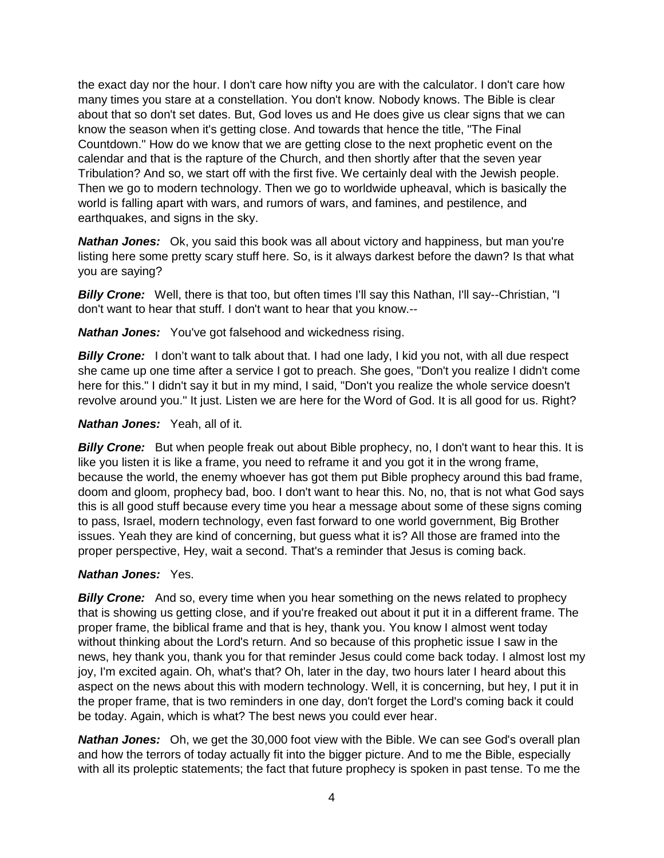the exact day nor the hour. I don't care how nifty you are with the calculator. I don't care how many times you stare at a constellation. You don't know. Nobody knows. The Bible is clear about that so don't set dates. But, God loves us and He does give us clear signs that we can know the season when it's getting close. And towards that hence the title, "The Final Countdown." How do we know that we are getting close to the next prophetic event on the calendar and that is the rapture of the Church, and then shortly after that the seven year Tribulation? And so, we start off with the first five. We certainly deal with the Jewish people. Then we go to modern technology. Then we go to worldwide upheaval, which is basically the world is falling apart with wars, and rumors of wars, and famines, and pestilence, and earthquakes, and signs in the sky.

**Nathan Jones:** Ok, you said this book was all about victory and happiness, but man you're listing here some pretty scary stuff here. So, is it always darkest before the dawn? Is that what you are saying?

*Billy Crone:* Well, there is that too, but often times I'll say this Nathan, I'll say--Christian, "I don't want to hear that stuff. I don't want to hear that you know.--

*Nathan Jones:* You've got falsehood and wickedness rising.

**Billy Crone:** I don't want to talk about that. I had one lady, I kid you not, with all due respect she came up one time after a service I got to preach. She goes, "Don't you realize I didn't come here for this." I didn't say it but in my mind, I said, "Don't you realize the whole service doesn't revolve around you." It just. Listen we are here for the Word of God. It is all good for us. Right?

#### *Nathan Jones:* Yeah, all of it.

**Billy Crone:** But when people freak out about Bible prophecy, no, I don't want to hear this. It is like you listen it is like a frame, you need to reframe it and you got it in the wrong frame, because the world, the enemy whoever has got them put Bible prophecy around this bad frame, doom and gloom, prophecy bad, boo. I don't want to hear this. No, no, that is not what God says this is all good stuff because every time you hear a message about some of these signs coming to pass, Israel, modern technology, even fast forward to one world government, Big Brother issues. Yeah they are kind of concerning, but guess what it is? All those are framed into the proper perspective, Hey, wait a second. That's a reminder that Jesus is coming back.

# *Nathan Jones:* Yes.

*Billy Crone:* And so, every time when you hear something on the news related to prophecy that is showing us getting close, and if you're freaked out about it put it in a different frame. The proper frame, the biblical frame and that is hey, thank you. You know I almost went today without thinking about the Lord's return. And so because of this prophetic issue I saw in the news, hey thank you, thank you for that reminder Jesus could come back today. I almost lost my joy, I'm excited again. Oh, what's that? Oh, later in the day, two hours later I heard about this aspect on the news about this with modern technology. Well, it is concerning, but hey, I put it in the proper frame, that is two reminders in one day, don't forget the Lord's coming back it could be today. Again, which is what? The best news you could ever hear.

**Nathan Jones:** Oh, we get the 30,000 foot view with the Bible. We can see God's overall plan and how the terrors of today actually fit into the bigger picture. And to me the Bible, especially with all its proleptic statements; the fact that future prophecy is spoken in past tense. To me the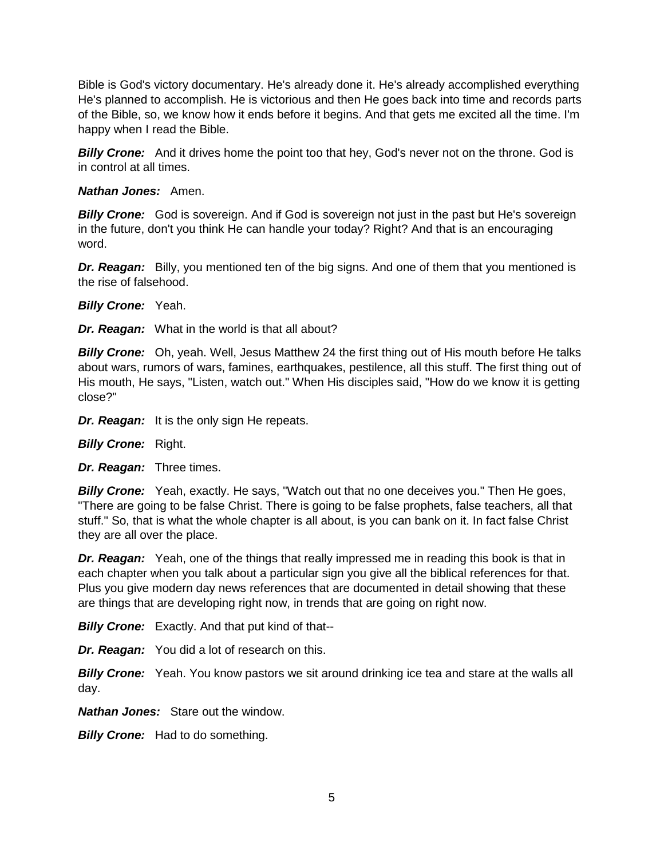Bible is God's victory documentary. He's already done it. He's already accomplished everything He's planned to accomplish. He is victorious and then He goes back into time and records parts of the Bible, so, we know how it ends before it begins. And that gets me excited all the time. I'm happy when I read the Bible.

**Billy Crone:** And it drives home the point too that hey, God's never not on the throne. God is in control at all times.

### *Nathan Jones:* Amen.

**Billy Crone:** God is sovereign. And if God is sovereign not just in the past but He's sovereign in the future, don't you think He can handle your today? Right? And that is an encouraging word.

**Dr. Reagan:** Billy, you mentioned ten of the big signs. And one of them that you mentioned is the rise of falsehood.

*Billy Crone:* Yeah.

*Dr. Reagan:* What in the world is that all about?

*Billy Crone:* Oh, yeah. Well, Jesus Matthew 24 the first thing out of His mouth before He talks about wars, rumors of wars, famines, earthquakes, pestilence, all this stuff. The first thing out of His mouth, He says, "Listen, watch out." When His disciples said, "How do we know it is getting close?"

*Dr. Reagan:* It is the only sign He repeats.

*Billy Crone:* Right.

*Dr. Reagan:* Three times.

*Billy Crone:* Yeah, exactly. He says, "Watch out that no one deceives you." Then He goes, "There are going to be false Christ. There is going to be false prophets, false teachers, all that stuff." So, that is what the whole chapter is all about, is you can bank on it. In fact false Christ they are all over the place.

**Dr. Reagan:** Yeah, one of the things that really impressed me in reading this book is that in each chapter when you talk about a particular sign you give all the biblical references for that. Plus you give modern day news references that are documented in detail showing that these are things that are developing right now, in trends that are going on right now.

**Billy Crone:** Exactly. And that put kind of that--

*Dr. Reagan:* You did a lot of research on this.

**Billy Crone:** Yeah. You know pastors we sit around drinking ice tea and stare at the walls all day.

*Nathan Jones:* Stare out the window.

*Billy Crone:* Had to do something.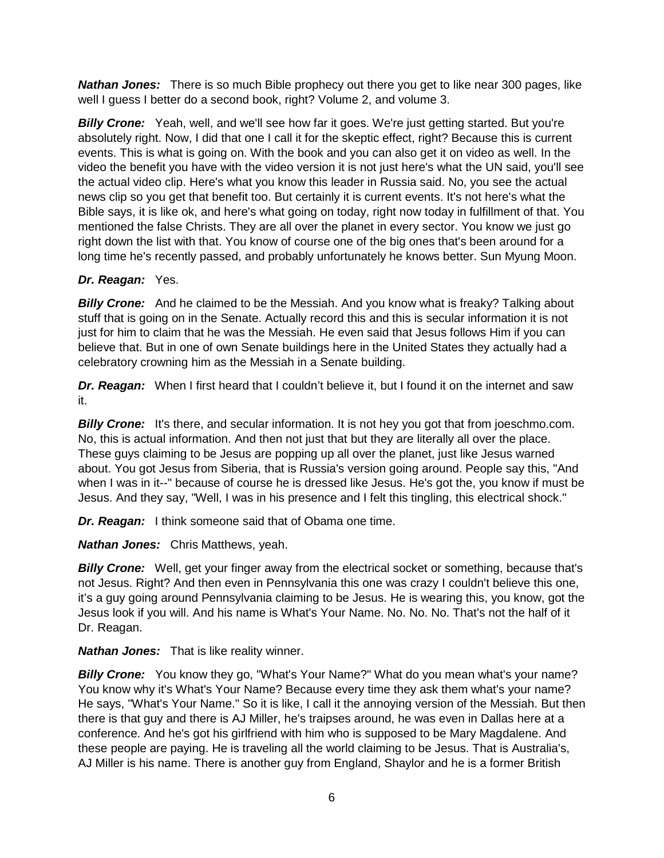**Nathan Jones:** There is so much Bible prophecy out there you get to like near 300 pages, like well I guess I better do a second book, right? Volume 2, and volume 3.

**Billy Crone:** Yeah, well, and we'll see how far it goes. We're just getting started. But you're absolutely right. Now, I did that one I call it for the skeptic effect, right? Because this is current events. This is what is going on. With the book and you can also get it on video as well. In the video the benefit you have with the video version it is not just here's what the UN said, you'll see the actual video clip. Here's what you know this leader in Russia said. No, you see the actual news clip so you get that benefit too. But certainly it is current events. It's not here's what the Bible says, it is like ok, and here's what going on today, right now today in fulfillment of that. You mentioned the false Christs. They are all over the planet in every sector. You know we just go right down the list with that. You know of course one of the big ones that's been around for a long time he's recently passed, and probably unfortunately he knows better. Sun Myung Moon.

# *Dr. Reagan:* Yes.

**Billy Crone:** And he claimed to be the Messiah. And you know what is freaky? Talking about stuff that is going on in the Senate. Actually record this and this is secular information it is not just for him to claim that he was the Messiah. He even said that Jesus follows Him if you can believe that. But in one of own Senate buildings here in the United States they actually had a celebratory crowning him as the Messiah in a Senate building.

**Dr. Reagan:** When I first heard that I couldn't believe it, but I found it on the internet and saw it.

**Billy Crone:** It's there, and secular information. It is not hey you got that from joeschmo.com. No, this is actual information. And then not just that but they are literally all over the place. These guys claiming to be Jesus are popping up all over the planet, just like Jesus warned about. You got Jesus from Siberia, that is Russia's version going around. People say this, "And when I was in it--" because of course he is dressed like Jesus. He's got the, you know if must be Jesus. And they say, "Well, I was in his presence and I felt this tingling, this electrical shock."

*Dr. Reagan:* I think someone said that of Obama one time.

*Nathan Jones:* Chris Matthews, yeah.

**Billy Crone:** Well, get your finger away from the electrical socket or something, because that's not Jesus. Right? And then even in Pennsylvania this one was crazy I couldn't believe this one, it's a guy going around Pennsylvania claiming to be Jesus. He is wearing this, you know, got the Jesus look if you will. And his name is What's Your Name. No. No. No. That's not the half of it Dr. Reagan.

*Nathan Jones:* That is like reality winner.

**Billy Crone:** You know they go, "What's Your Name?" What do you mean what's your name? You know why it's What's Your Name? Because every time they ask them what's your name? He says, "What's Your Name." So it is like, I call it the annoying version of the Messiah. But then there is that guy and there is AJ Miller, he's traipses around, he was even in Dallas here at a conference. And he's got his girlfriend with him who is supposed to be Mary Magdalene. And these people are paying. He is traveling all the world claiming to be Jesus. That is Australia's, AJ Miller is his name. There is another guy from England, Shaylor and he is a former British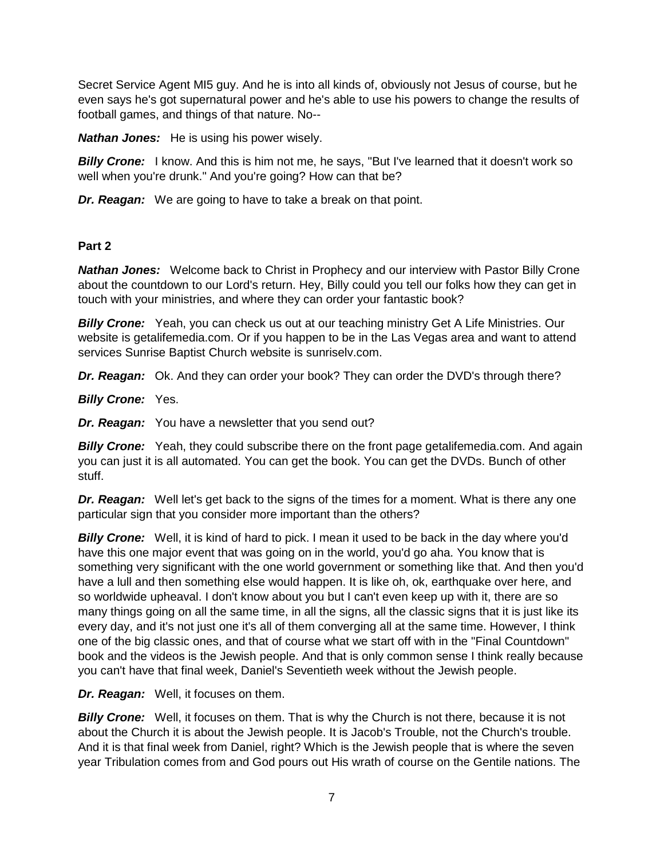Secret Service Agent MI5 guy. And he is into all kinds of, obviously not Jesus of course, but he even says he's got supernatural power and he's able to use his powers to change the results of football games, and things of that nature. No--

*Nathan Jones:* He is using his power wisely.

**Billy Crone:** I know. And this is him not me, he says, "But I've learned that it doesn't work so well when you're drunk." And you're going? How can that be?

*Dr. Reagan:* We are going to have to take a break on that point.

### **Part 2**

*Nathan Jones:* Welcome back to Christ in Prophecy and our interview with Pastor Billy Crone about the countdown to our Lord's return. Hey, Billy could you tell our folks how they can get in touch with your ministries, and where they can order your fantastic book?

**Billy Crone:** Yeah, you can check us out at our teaching ministry Get A Life Ministries. Our website is getalifemedia.com. Or if you happen to be in the Las Vegas area and want to attend services Sunrise Baptist Church website is sunriselv.com.

*Dr. Reagan:* Ok. And they can order your book? They can order the DVD's through there?

**Billy Crone: Yes.** 

*Dr. Reagan:* You have a newsletter that you send out?

**Billy Crone:** Yeah, they could subscribe there on the front page getalifemedia.com. And again you can just it is all automated. You can get the book. You can get the DVDs. Bunch of other stuff.

**Dr. Reagan:** Well let's get back to the signs of the times for a moment. What is there any one particular sign that you consider more important than the others?

*Billy Crone:* Well, it is kind of hard to pick. I mean it used to be back in the day where you'd have this one major event that was going on in the world, you'd go aha. You know that is something very significant with the one world government or something like that. And then you'd have a lull and then something else would happen. It is like oh, ok, earthquake over here, and so worldwide upheaval. I don't know about you but I can't even keep up with it, there are so many things going on all the same time, in all the signs, all the classic signs that it is just like its every day, and it's not just one it's all of them converging all at the same time. However, I think one of the big classic ones, and that of course what we start off with in the "Final Countdown" book and the videos is the Jewish people. And that is only common sense I think really because you can't have that final week, Daniel's Seventieth week without the Jewish people.

*Dr. Reagan:* Well, it focuses on them.

**Billy Crone:** Well, it focuses on them. That is why the Church is not there, because it is not about the Church it is about the Jewish people. It is Jacob's Trouble, not the Church's trouble. And it is that final week from Daniel, right? Which is the Jewish people that is where the seven year Tribulation comes from and God pours out His wrath of course on the Gentile nations. The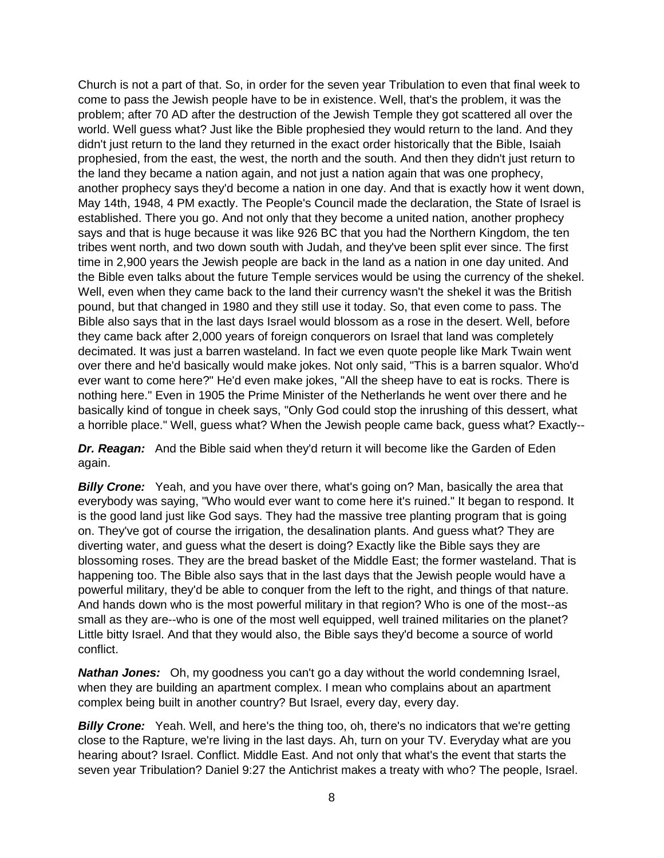Church is not a part of that. So, in order for the seven year Tribulation to even that final week to come to pass the Jewish people have to be in existence. Well, that's the problem, it was the problem; after 70 AD after the destruction of the Jewish Temple they got scattered all over the world. Well guess what? Just like the Bible prophesied they would return to the land. And they didn't just return to the land they returned in the exact order historically that the Bible, Isaiah prophesied, from the east, the west, the north and the south. And then they didn't just return to the land they became a nation again, and not just a nation again that was one prophecy, another prophecy says they'd become a nation in one day. And that is exactly how it went down, May 14th, 1948, 4 PM exactly. The People's Council made the declaration, the State of Israel is established. There you go. And not only that they become a united nation, another prophecy says and that is huge because it was like 926 BC that you had the Northern Kingdom, the ten tribes went north, and two down south with Judah, and they've been split ever since. The first time in 2,900 years the Jewish people are back in the land as a nation in one day united. And the Bible even talks about the future Temple services would be using the currency of the shekel. Well, even when they came back to the land their currency wasn't the shekel it was the British pound, but that changed in 1980 and they still use it today. So, that even come to pass. The Bible also says that in the last days Israel would blossom as a rose in the desert. Well, before they came back after 2,000 years of foreign conquerors on Israel that land was completely decimated. It was just a barren wasteland. In fact we even quote people like Mark Twain went over there and he'd basically would make jokes. Not only said, "This is a barren squalor. Who'd ever want to come here?" He'd even make jokes, "All the sheep have to eat is rocks. There is nothing here." Even in 1905 the Prime Minister of the Netherlands he went over there and he basically kind of tongue in cheek says, "Only God could stop the inrushing of this dessert, what a horrible place." Well, guess what? When the Jewish people came back, guess what? Exactly--

**Dr. Reagan:** And the Bible said when they'd return it will become like the Garden of Eden again.

**Billy Crone:** Yeah, and you have over there, what's going on? Man, basically the area that everybody was saying, "Who would ever want to come here it's ruined." It began to respond. It is the good land just like God says. They had the massive tree planting program that is going on. They've got of course the irrigation, the desalination plants. And guess what? They are diverting water, and guess what the desert is doing? Exactly like the Bible says they are blossoming roses. They are the bread basket of the Middle East; the former wasteland. That is happening too. The Bible also says that in the last days that the Jewish people would have a powerful military, they'd be able to conquer from the left to the right, and things of that nature. And hands down who is the most powerful military in that region? Who is one of the most--as small as they are--who is one of the most well equipped, well trained militaries on the planet? Little bitty Israel. And that they would also, the Bible says they'd become a source of world conflict.

*Nathan Jones:* Oh, my goodness you can't go a day without the world condemning Israel, when they are building an apartment complex. I mean who complains about an apartment complex being built in another country? But Israel, every day, every day.

**Billy Crone:** Yeah. Well, and here's the thing too, oh, there's no indicators that we're getting close to the Rapture, we're living in the last days. Ah, turn on your TV. Everyday what are you hearing about? Israel. Conflict. Middle East. And not only that what's the event that starts the seven year Tribulation? Daniel 9:27 the Antichrist makes a treaty with who? The people, Israel.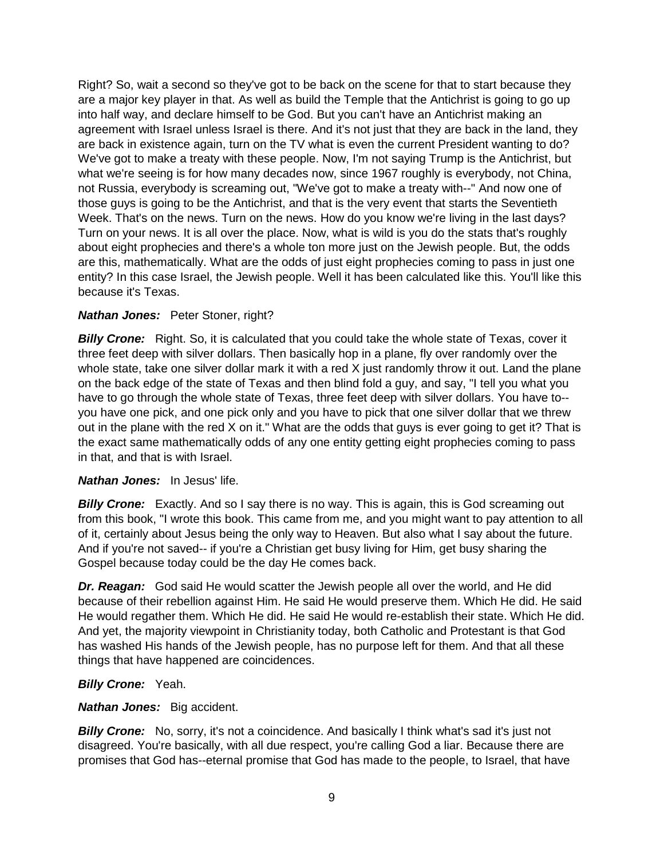Right? So, wait a second so they've got to be back on the scene for that to start because they are a major key player in that. As well as build the Temple that the Antichrist is going to go up into half way, and declare himself to be God. But you can't have an Antichrist making an agreement with Israel unless Israel is there. And it's not just that they are back in the land, they are back in existence again, turn on the TV what is even the current President wanting to do? We've got to make a treaty with these people. Now, I'm not saying Trump is the Antichrist, but what we're seeing is for how many decades now, since 1967 roughly is everybody, not China, not Russia, everybody is screaming out, "We've got to make a treaty with--" And now one of those guys is going to be the Antichrist, and that is the very event that starts the Seventieth Week. That's on the news. Turn on the news. How do you know we're living in the last days? Turn on your news. It is all over the place. Now, what is wild is you do the stats that's roughly about eight prophecies and there's a whole ton more just on the Jewish people. But, the odds are this, mathematically. What are the odds of just eight prophecies coming to pass in just one entity? In this case Israel, the Jewish people. Well it has been calculated like this. You'll like this because it's Texas.

# *Nathan Jones:* Peter Stoner, right?

**Billy Crone:** Right. So, it is calculated that you could take the whole state of Texas, cover it three feet deep with silver dollars. Then basically hop in a plane, fly over randomly over the whole state, take one silver dollar mark it with a red X just randomly throw it out. Land the plane on the back edge of the state of Texas and then blind fold a guy, and say, "I tell you what you have to go through the whole state of Texas, three feet deep with silver dollars. You have to- you have one pick, and one pick only and you have to pick that one silver dollar that we threw out in the plane with the red X on it." What are the odds that guys is ever going to get it? That is the exact same mathematically odds of any one entity getting eight prophecies coming to pass in that, and that is with Israel.

# *Nathan Jones:* In Jesus' life.

**Billy Crone:** Exactly. And so I say there is no way. This is again, this is God screaming out from this book, "I wrote this book. This came from me, and you might want to pay attention to all of it, certainly about Jesus being the only way to Heaven. But also what I say about the future. And if you're not saved-- if you're a Christian get busy living for Him, get busy sharing the Gospel because today could be the day He comes back.

*Dr. Reagan:* God said He would scatter the Jewish people all over the world, and He did because of their rebellion against Him. He said He would preserve them. Which He did. He said He would regather them. Which He did. He said He would re-establish their state. Which He did. And yet, the majority viewpoint in Christianity today, both Catholic and Protestant is that God has washed His hands of the Jewish people, has no purpose left for them. And that all these things that have happened are coincidences.

# **Billy Crone: Yeah.**

#### *Nathan Jones:* Big accident.

**Billy Crone:** No, sorry, it's not a coincidence. And basically I think what's sad it's just not disagreed. You're basically, with all due respect, you're calling God a liar. Because there are promises that God has--eternal promise that God has made to the people, to Israel, that have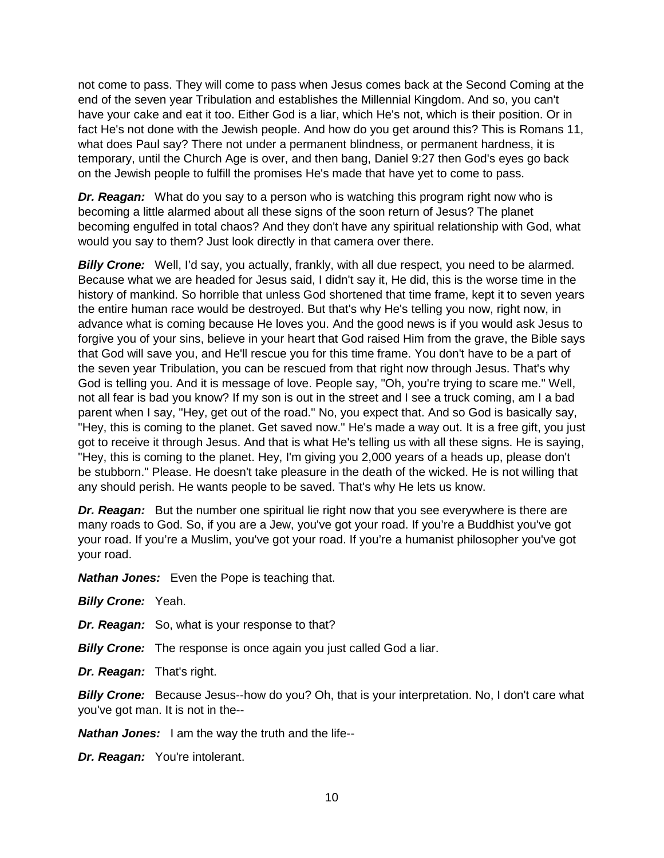not come to pass. They will come to pass when Jesus comes back at the Second Coming at the end of the seven year Tribulation and establishes the Millennial Kingdom. And so, you can't have your cake and eat it too. Either God is a liar, which He's not, which is their position. Or in fact He's not done with the Jewish people. And how do you get around this? This is Romans 11, what does Paul say? There not under a permanent blindness, or permanent hardness, it is temporary, until the Church Age is over, and then bang, Daniel 9:27 then God's eyes go back on the Jewish people to fulfill the promises He's made that have yet to come to pass.

**Dr. Reagan:** What do you say to a person who is watching this program right now who is becoming a little alarmed about all these signs of the soon return of Jesus? The planet becoming engulfed in total chaos? And they don't have any spiritual relationship with God, what would you say to them? Just look directly in that camera over there.

**Billy Crone:** Well, I'd say, you actually, frankly, with all due respect, you need to be alarmed. Because what we are headed for Jesus said, I didn't say it, He did, this is the worse time in the history of mankind. So horrible that unless God shortened that time frame, kept it to seven years the entire human race would be destroyed. But that's why He's telling you now, right now, in advance what is coming because He loves you. And the good news is if you would ask Jesus to forgive you of your sins, believe in your heart that God raised Him from the grave, the Bible says that God will save you, and He'll rescue you for this time frame. You don't have to be a part of the seven year Tribulation, you can be rescued from that right now through Jesus. That's why God is telling you. And it is message of love. People say, "Oh, you're trying to scare me." Well, not all fear is bad you know? If my son is out in the street and I see a truck coming, am I a bad parent when I say, "Hey, get out of the road." No, you expect that. And so God is basically say, "Hey, this is coming to the planet. Get saved now." He's made a way out. It is a free gift, you just got to receive it through Jesus. And that is what He's telling us with all these signs. He is saying, "Hey, this is coming to the planet. Hey, I'm giving you 2,000 years of a heads up, please don't be stubborn." Please. He doesn't take pleasure in the death of the wicked. He is not willing that any should perish. He wants people to be saved. That's why He lets us know.

*Dr. Reagan:* But the number one spiritual lie right now that you see everywhere is there are many roads to God. So, if you are a Jew, you've got your road. If you're a Buddhist you've got your road. If you're a Muslim, you've got your road. If you're a humanist philosopher you've got your road.

*Nathan Jones:* Even the Pope is teaching that.

**Billy Crone: Yeah.** 

*Dr. Reagan:* So, what is your response to that?

**Billy Crone:** The response is once again you just called God a liar.

*Dr. Reagan:* That's right.

**Billy Crone:** Because Jesus--how do you? Oh, that is your interpretation. No, I don't care what you've got man. It is not in the--

*Nathan Jones:* I am the way the truth and the life--

*Dr. Reagan:* You're intolerant.